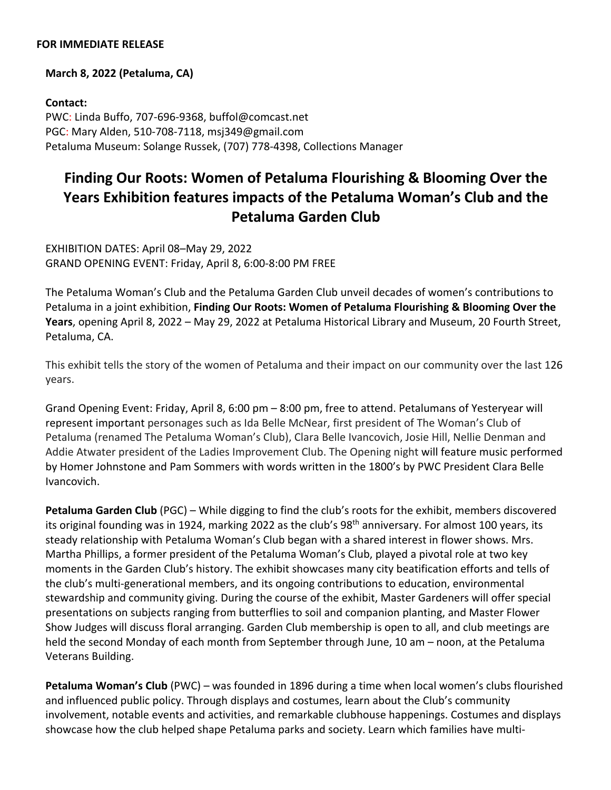## **FOR IMMEDIATE RELEASE**

## **March 8, 2022 (Petaluma, CA)**

**Contact:**  PWC: Linda Buffo, 707-696-9368, buffol@comcast.net PGC: Mary Alden, 510-708-7118, msj349@gmail.com Petaluma Museum: Solange Russek, (707) 778-4398, Collections Manager

## **Finding Our Roots: Women of Petaluma Flourishing & Blooming Over the Years Exhibition features impacts of the Petaluma Woman's Club and the Petaluma Garden Club**

EXHIBITION DATES: April 08–May 29, 2022 GRAND OPENING EVENT: Friday, April 8, 6:00-8:00 PM FREE

The Petaluma Woman's Club and the Petaluma Garden Club unveil decades of women's contributions to Petaluma in a joint exhibition, **Finding Our Roots: Women of Petaluma Flourishing & Blooming Over the Years**, opening April 8, 2022 – May 29, 2022 at Petaluma Historical Library and Museum, 20 Fourth Street, Petaluma, CA.

This exhibit tells the story of the women of Petaluma and their impact on our community over the last 126 years.

Grand Opening Event: Friday, April 8, 6:00 pm – 8:00 pm, free to attend. Petalumans of Yesteryear will represent important personages such as Ida Belle McNear, first president of The Woman's Club of Petaluma (renamed The Petaluma Woman's Club), Clara Belle Ivancovich, Josie Hill, Nellie Denman and Addie Atwater president of the Ladies Improvement Club. The Opening night will feature music performed by Homer Johnstone and Pam Sommers with words written in the 1800's by PWC President Clara Belle Ivancovich.

**Petaluma Garden Club** (PGC) – While digging to find the club's roots for the exhibit, members discovered its original founding was in 1924, marking 2022 as the club's 98<sup>th</sup> anniversary. For almost 100 years, its steady relationship with Petaluma Woman's Club began with a shared interest in flower shows. Mrs. Martha Phillips, a former president of the Petaluma Woman's Club, played a pivotal role at two key moments in the Garden Club's history. The exhibit showcases many city beatification efforts and tells of the club's multi-generational members, and its ongoing contributions to education, environmental stewardship and community giving. During the course of the exhibit, Master Gardeners will offer special presentations on subjects ranging from butterflies to soil and companion planting, and Master Flower Show Judges will discuss floral arranging. Garden Club membership is open to all, and club meetings are held the second Monday of each month from September through June, 10 am – noon, at the Petaluma Veterans Building.

**Petaluma Woman's Club** (PWC) – was founded in 1896 during a time when local women's clubs flourished and influenced public policy. Through displays and costumes, learn about the Club's community involvement, notable events and activities, and remarkable clubhouse happenings. Costumes and displays showcase how the club helped shape Petaluma parks and society. Learn which families have multi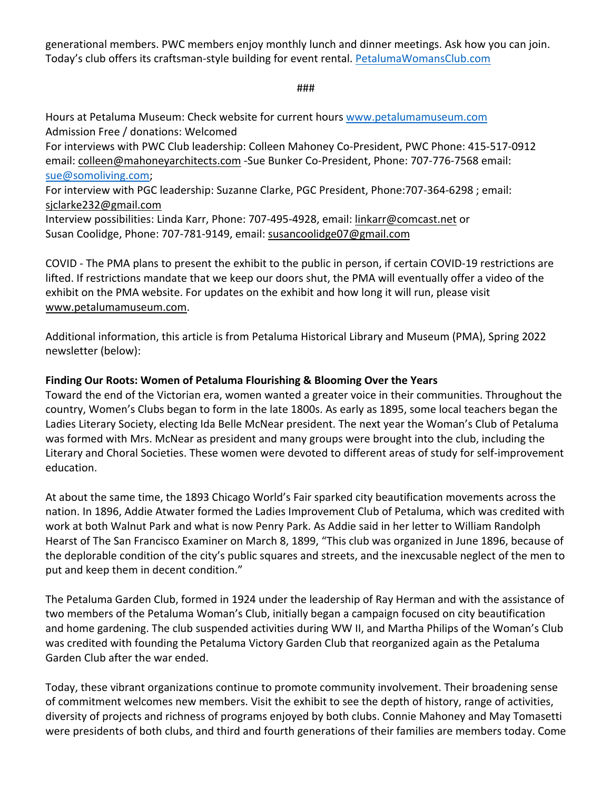generational members. PWC members enjoy monthly lunch and dinner meetings. Ask how you can join. Today's club offers its craftsman-style building for event rental. PetalumaWomansClub.com

###

Hours at Petaluma Museum: Check website for current hours www.petalumamuseum.com Admission Free / donations: Welcomed For interviews with PWC Club leadership: Colleen Mahoney Co-President, PWC Phone: 415-517-0912 email: colleen@mahoneyarchitects.com -Sue Bunker Co-President, Phone: 707-776-7568 email: sue@somoliving.com; For interview with PGC leadership: Suzanne Clarke, PGC President, Phone:707-364-6298 ; email: sjclarke232@gmail.com Interview possibilities: Linda Karr, Phone: 707-495-4928, email: linkarr@comcast.net or Susan Coolidge, Phone: 707-781-9149, email: susancoolidge07@gmail.com

COVID - The PMA plans to present the exhibit to the public in person, if certain COVID-19 restrictions are lifted. If restrictions mandate that we keep our doors shut, the PMA will eventually offer a video of the exhibit on the PMA website. For updates on the exhibit and how long it will run, please visit www.petalumamuseum.com.

Additional information, this article is from Petaluma Historical Library and Museum (PMA), Spring 2022 newsletter (below):

## **Finding Our Roots: Women of Petaluma Flourishing & Blooming Over the Years**

Toward the end of the Victorian era, women wanted a greater voice in their communities. Throughout the country, Women's Clubs began to form in the late 1800s. As early as 1895, some local teachers began the Ladies Literary Society, electing Ida Belle McNear president. The next year the Woman's Club of Petaluma was formed with Mrs. McNear as president and many groups were brought into the club, including the Literary and Choral Societies. These women were devoted to different areas of study for self-improvement education.

At about the same time, the 1893 Chicago World's Fair sparked city beautification movements across the nation. In 1896, Addie Atwater formed the Ladies Improvement Club of Petaluma, which was credited with work at both Walnut Park and what is now Penry Park. As Addie said in her letter to William Randolph Hearst of The San Francisco Examiner on March 8, 1899, "This club was organized in June 1896, because of the deplorable condition of the city's public squares and streets, and the inexcusable neglect of the men to put and keep them in decent condition."

The Petaluma Garden Club, formed in 1924 under the leadership of Ray Herman and with the assistance of two members of the Petaluma Woman's Club, initially began a campaign focused on city beautification and home gardening. The club suspended activities during WW II, and Martha Philips of the Woman's Club was credited with founding the Petaluma Victory Garden Club that reorganized again as the Petaluma Garden Club after the war ended.

Today, these vibrant organizations continue to promote community involvement. Their broadening sense of commitment welcomes new members. Visit the exhibit to see the depth of history, range of activities, diversity of projects and richness of programs enjoyed by both clubs. Connie Mahoney and May Tomasetti were presidents of both clubs, and third and fourth generations of their families are members today. Come